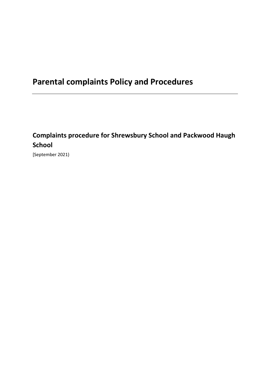# **Complaints procedure for Shrewsbury School and Packwood Haugh School**

[September 2021)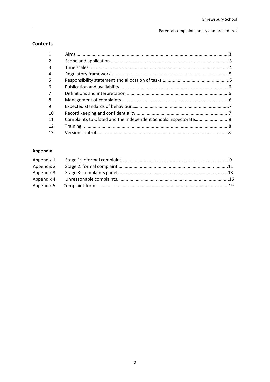# **Contents**

| $\mathbf{1}$ |  |
|--------------|--|
|              |  |
| 3            |  |
| 4            |  |
| 5            |  |
| 6            |  |
|              |  |
| 8            |  |
| 9            |  |
| 10           |  |
| 11           |  |
| 12           |  |
| 13           |  |

# Appendix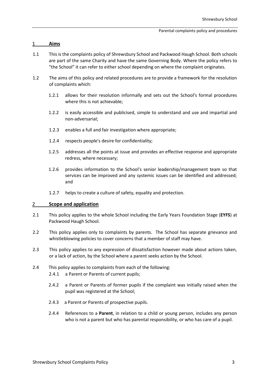### 1 **Aims**

- 1.1 This is the complaints policy of Shrewsbury School and Packwood Haugh School. Both schools are part of the same Charity and have the same Governing Body. Where the policy refers to "the School" it can refer to either school depending on where the complaint originates.
- 1.2 The aims of this policy and related procedures are to provide a framework for the resolution of complaints which:
	- 1.2.1 allows for their resolution informally and sets out the School's formal procedures where this is not achievable;
	- 1.2.2 is easily accessible and publicised, simple to understand and use and impartial and non-adversarial;
	- 1.2.3 enables a full and fair investigation where appropriate;
	- 1.2.4 respects people's desire for confidentiality;
	- 1.2.5 addresses all the points at issue and provides an effective response and appropriate redress, where necessary;
	- 1.2.6 provides information to the School's senior leadership/management team so that services can be improved and any systemic issues can be identified and addressed; and
	- 1.2.7 helps to create a culture of safety, equality and protection.

# 2 **Scope and application**

- 2.1 This policy applies to the whole School including the Early Years Foundation Stage (**EYFS**) at Packwood Haugh School.
- 2.2 This policy applies only to complaints by parents. The School has separate grievance and whistleblowing policies to cover concerns that a member of staff may have.
- 2.3 This policy applies to any expression of dissatisfaction however made about actions taken, or a lack of action, by the School where a parent seeks action by the School.
- 2.4 This policy applies to complaints from each of the following:
	- 2.4.1 a Parent or Parents of current pupils;
	- 2.4.2 a Parent or Parents of former pupils if the complaint was initially raised when the pupil was registered at the School;
	- 2.4.3 a Parent or Parents of prospective pupils.
	- 2.4.4 References to a **Parent**, in relation to a child or young person, includes any person who is not a parent but who has parental responsibility, or who has care of a pupil.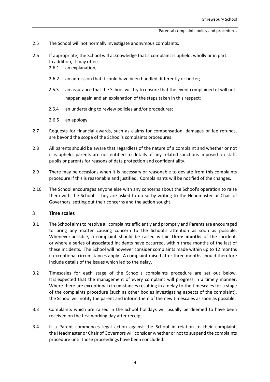- 2.5 The School will not normally investigate anonymous complaints.
- 2.6 If appropriate, the School will acknowledge that a complaint is upheld, wholly or in part. In addition, it may offer:
	- 2.6.1 an explanation;
	- 2.6.2 an admission that it could have been handled differently or better;
	- 2.6.3 an assurance that the School will try to ensure that the event complained of will not happen again and an explanation of the steps taken in this respect;
	- 2.6.4 an undertaking to review policies and/or procedures;
	- 2.6.5 an apology.
- 2.7 Requests for financial awards, such as claims for compensation, damages or fee refunds, are beyond the scope of the School's complaints procedures
- 2.8 All parents should be aware that regardless of the nature of a complaint and whether or not it is upheld, parents are not entitled to details of any related sanctions imposed on staff, pupils or parents for reasons of data protection and confidentiality.
- 2.9 There may be occasions when it is necessary or reasonable to deviate from this complaints procedure if this is reasonable and justified. Complainants will be notified of the changes.
- 2.10 The School encourages anyone else with any concerns about the School's operation to raise them with the School. They are asked to do so by writing to the Headmaster or Chair of Governors, setting out their concerns and the action sought.

#### 3 **Time scales**

- 3.1 The School aims to resolve all complaints efficiently and promptly and Parents are encouraged to bring any matter causing concern to the School's attention as soon as possible. Whenever possible, a complaint should be raised within **three months** of the incident, or where a series of associated incidents have occurred, within three months of the last of these incidents. The School will however consider complaints made within up to 12 months if exceptional circumstances apply. A complaint raised after three months should therefore include details of the issues which led to the delay.
- 3.2 Timescales for each stage of the School's complaints procedure are set out below. It is expected that the management of every complaint will progress in a timely manner. Where there are exceptional circumstances resulting in a delay to the timescales for a stage of the complaints procedure (such as other bodies investigating aspects of the complaint), the School will notify the parent and inform them of the new timescales as soon as possible.
- 3.3 Complaints which are raised in the School holidays will usually be deemed to have been received on the first working day after receipt.
- 3.4 If a Parent commences legal action against the School in relation to their complaint, the Headmaster or Chair of Governors will consider whether or not to suspend the complaints procedure until those proceedings have been concluded.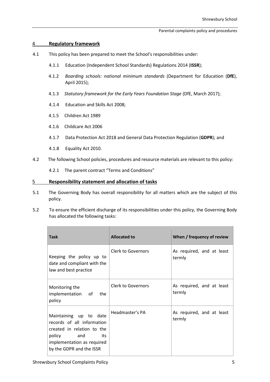# 4 **Regulatory framework**

- 4.1 This policy has been prepared to meet the School's responsibilities under:
	- 4.1.1 Education (Independent School Standards) Regulations 2014 (**ISSR**);
	- 4.1.2 *Boarding schools: national minimum standards* (Department for Education (**DfE**), April 2015);
	- 4.1.3 *Statutory framework for the Early Years Foundation Stage* (DfE, March 2017);
	- 4.1.4 Education and Skills Act 2008;
	- 4.1.5 Children Act 1989
	- 4.1.6 Childcare Act 2006
	- 4.1.7 Data Protection Act 2018 and General Data Protection Regulation (**GDPR**); and
	- 4.1.8 Equality Act 2010.
- 4.2 The following School policies, procedures and resource materials are relevant to this policy:

4.2.1 The parent contract "Terms and Conditions"

## 5 **Responsibility statement and allocation of tasks**

- 5.1 The Governing Body has overall responsibility for all matters which are the subject of this policy.
- 5.2 To ensure the efficient discharge of its responsibilities under this policy, the Governing Body has allocated the following tasks:

| <b>Task</b>                                                                                                                                                          | <b>Allocated to</b> | When / frequency of review          |
|----------------------------------------------------------------------------------------------------------------------------------------------------------------------|---------------------|-------------------------------------|
| Keeping the policy up to<br>date and compliant with the<br>law and best practice                                                                                     | Clerk to Governors  | As required, and at least<br>termly |
| Monitoring the<br>implementation of the<br>policy                                                                                                                    | Clerk to Governors  | As required, and at least<br>termly |
| Maintaining up to date<br>records of all information<br>created in relation to the<br>policy<br>and<br>its<br>implementation as required<br>by the GDPR and the ISSR | Headmaster's PA     | As required, and at least<br>termly |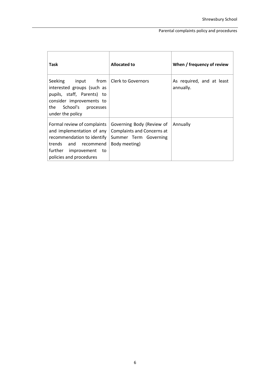| Task                                                                                                                                                                                | <b>Allocated to</b>                                                                               | When / frequency of review             |
|-------------------------------------------------------------------------------------------------------------------------------------------------------------------------------------|---------------------------------------------------------------------------------------------------|----------------------------------------|
| input from   Clerk to Governors<br>Seeking<br>interested groups (such as<br>pupils, staff, Parents) to<br>consider improvements to<br>the<br>School's processes<br>under the policy |                                                                                                   | As required, and at least<br>annually. |
| Formal review of complaints<br>and implementation of any<br>recommendation to identify<br>trends and recommend<br>further improvement to<br>policies and procedures                 | Governing Body (Review of<br>Complaints and Concerns at<br>Summer Term Governing<br>Body meeting) | Annually                               |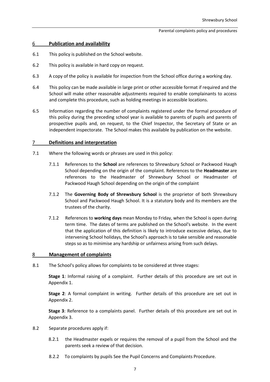## 6 **Publication and availability**

- 6.1 This policy is published on the School website.
- 6.2 This policy is available in hard copy on request.
- 6.3 A copy of the policy is available for inspection from the School office during a working day.
- 6.4 This policy can be made available in large print or other accessible format if required and the School will make other reasonable adjustments required to enable complainants to access and complete this procedure, such as holding meetings in accessible locations.
- 6.5 Information regarding the number of complaints registered under the formal procedure of this policy during the preceding school year is available to parents of pupils and parents of prospective pupils and, on request, to the Chief Inspector, the Secretary of State or an independent inspectorate. The School makes this available by publication on the website.

#### 7 **Definitions and interpretation**

- 7.1 Where the following words or phrases are used in this policy:
	- 7.1.1 References to the **School** are references to Shrewsbury School or Packwood Haugh School depending on the origin of the complaint. References to the **Headmaster** are references to the Headmaster of Shrewsbury School or Headmaster of Packwood Haugh School depending on the origin of the complaint
	- 7.1.2 The **Governing Body of Shrewsbury School** is the proprietor of both Shrewsbury School and Packwood Haugh School. It is a statutory body and its members are the trustees of the charity.
	- 7.1.2 References to **working days** mean Monday to Friday, when the School is open during term time. The dates of terms are published on the School's website. In the event that the application of this definition is likely to introduce excessive delays, due to intervening School holidays, the School's approach is to take sensible and reasonable steps so as to minimise any hardship or unfairness arising from such delays.

#### 8 **Management of complaints**

8.1 The School's policy allows for complaints to be considered at three stages:

**Stage 1**: Informal raising of a complaint. Further details of this procedure are set out in Appendix 1.

**Stage 2**: A formal complaint in writing. Further details of this procedure are set out in Appendix 2.

**Stage 3**: Reference to a complaints panel. Further details of this procedure are set out in Appendix 3.

- 8.2 Separate procedures apply if:
	- 8.2.1 the Headmaster expels or requires the removal of a pupil from the School and the parents seek a review of that decision.
	- 8.2.2 To complaints by pupils See the Pupil Concerns and Complaints Procedure.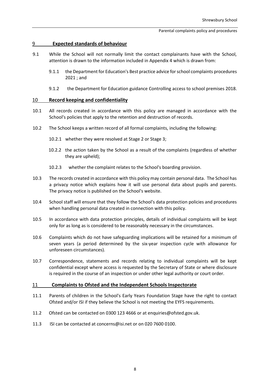# 9 **Expected standards of behaviour**

- 9.1 While the School will not normally limit the contact complainants have with the School, attention is drawn to the information included in Appendix 4 which is drawn from:
	- 9.1.1 the Department for Education'[s Best practice advice for school](https://www.gov.uk/government/publications/school-complaints-procedures/best-practice-advice-for-school-complaints-procedures-2019) [complaints procedures](https://www.gov.uk/government/publications/school-complaints-procedures/best-practice-advice-for-school-complaints-procedures-2019)  [2021 ;](https://www.gov.uk/government/publications/school-complaints-procedures/best-practice-advice-for-school-complaints-procedures-2019) and
	- 9.1.2 the Department for Education guidance [Controlling access](https://www.gov.uk/government/publications/controlling-access-to-school-premises) [to school premises 2018.](https://www.gov.uk/government/publications/controlling-access-to-school-premises)

## 10 **Record keeping and confidentiality**

- 10.1 All records created in accordance with this policy are managed in accordance with the School's policies that apply to the retention and destruction of records.
- 10.2 The School keeps a written record of all formal complaints, including the following:
	- 10.2.1 whether they were resolved at Stage 2 or Stage 3;
	- 10.2.2 the action taken by the School as a result of the complaints (regardless of whether they are upheld);
	- 10.2.3 whether the complaint relates to the School's boarding provision.
- 10.3 The records created in accordance with this policy may contain personal data. The School has a privacy notice which explains how it will use personal data about pupils and parents. The privacy notice is published on the School's website.
- 10.4 School staff will ensure that they follow the School's data protection policies and procedures when handling personal data created in connection with this policy.
- 10.5 In accordance with data protection principles, details of individual complaints will be kept only for as long as is considered to be reasonably necessary in the circumstances.
- 10.6 Complaints which do not have safeguarding implications will be retained for a minimum of seven years (a period determined by the six-year inspection cycle with allowance for unforeseen circumstances).
- 10.7 Correspondence, statements and records relating to individual complaints will be kept confidential except where access is requested by the Secretary of State or where disclosure is required in the course of an inspection or under other legal authority or court order.

#### 11 **Complaints to Ofsted and the Independent Schools Inspectorate**

- 11.1 Parents of children in the School's Early Years Foundation Stage have the right to contact Ofsted and/or ISI if they believe the School is not meeting the EYFS requirements.
- 11.2 Ofsted can be contacted on 0300 123 4666 or at enquiries@ofsted.gov.uk.
- 11.3 ISI can be contacted at concerns@isi.net or on 020 7600 0100.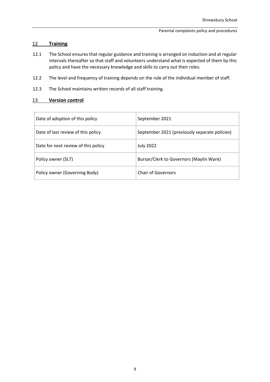# 12 **Training**

- 12.1 The School ensures that regular guidance and training is arranged on induction and at regular intervals thereafter so that staff and volunteers understand what is expected of them by this policy and have the necessary knowledge and skills to carry out their roles.
- 12.2 The level and frequency of training depends on the role of the individual member of staff.
- 12.3 The School maintains written records of all staff training.

# 13 **Version control**

| Date of adoption of this policy     | September 2021                                |
|-------------------------------------|-----------------------------------------------|
| Date of last review of this policy  | September 2021 (previously separate policies) |
| Date for next review of this policy | <b>July 2022</b>                              |
| Policy owner (SLT)                  | Bursar/Clerk to Governors (Maylin Ware)       |
| Policy owner (Governing Body)       | <b>Chair of Governors</b>                     |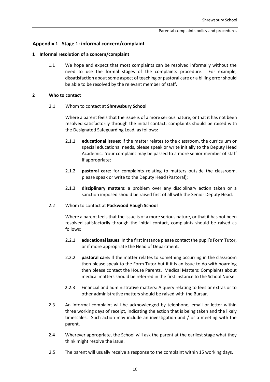### **Appendix 1 Stage 1: informal concern/complaint**

#### **1 Informal resolution of a concern/complaint**

1.1 We hope and expect that most complaints can be resolved informally without the need to use the formal stages of the complaints procedure. For example, dissatisfaction about some aspect of teaching or pastoral care or a billing error should be able to be resolved by the relevant member of staff.

#### **2 Who to contact**

#### 2.1 Whom to contact at **Shrewsbury School**

Where a parent feels that the issue is of a more serious nature, or that it has not been resolved satisfactorily through the initial contact, complaints should be raised with the Designated Safeguarding Lead, as follows:

- 2.1.1 **educational issues**: if the matter relates to the classroom, the curriculum or special educational needs, please speak or write initially to the Deputy Head Academic. Your complaint may be passed to a more senior member of staff if appropriate;
- 2.1.2 **pastoral care**: for complaints relating to matters outside the classroom, please speak or write to the Deputy Head (Pastoral);
- 2.1.3 **disciplinary matters**: a problem over any disciplinary action taken or a sanction imposed should be raised first of all with the Senior Deputy Head.

#### 2.2 Whom to contact at **Packwood Haugh School**

Where a parent feels that the issue is of a more serious nature, or that it has not been resolved satisfactorily through the initial contact, complaints should be raised as follows:

- 2.2.1 **educational issues**: In the first instance please contact the pupil's Form Tutor, or if more appropriate the Head of Department.
- 2.2.2 **pastoral care**: If the matter relates to something occurring in the classroom then please speak to the Form Tutor but if it is an issue to do with boarding then please contact the House Parents. Medical Matters: Complaints about medical matters should be referred in the first instance to the School Nurse.
- 2.2.3 Financial and administrative matters: A query relating to fees or extras or to other administrative matters should be raised with the Bursar.
- 2.3 An informal complaint will be acknowledged by telephone, email or letter within three working days of receipt, indicating the action that is being taken and the likely timescales. Such action may include an investigation and / or a meeting with the parent.
- 2.4 Wherever appropriate, the School will ask the parent at the earliest stage what they think might resolve the issue.
- 2.5 The parent will usually receive a response to the complaint within 15 working days.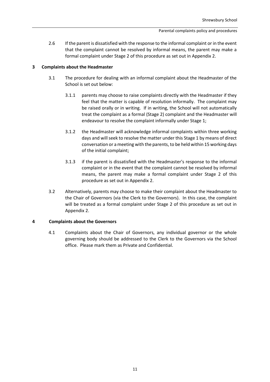2.6 If the parent is dissatisfied with the response to the informal complaint or in the event that the complaint cannot be resolved by informal means, the parent may make a formal complaint under Stage 2 of this procedure as set out in Appendix 2.

#### **3 Complaints about the Headmaster**

- 3.1 The procedure for dealing with an informal complaint about the Headmaster of the School is set out below:
	- 3.1.1 parents may choose to raise complaints directly with the Headmaster if they feel that the matter is capable of resolution informally. The complaint may be raised orally or in writing. If in writing, the School will not automatically treat the complaint as a formal (Stage 2) complaint and the Headmaster will endeavour to resolve the complaint informally under Stage 1;
	- 3.1.2 the Headmaster will acknowledge informal complaints within three working days and will seek to resolve the matter under this Stage 1 by means of direct conversation or a meeting with the parents, to be held within 15 working days of the initial complaint;
	- 3.1.3 if the parent is dissatisfied with the Headmaster's response to the informal complaint or in the event that the complaint cannot be resolved by informal means, the parent may make a formal complaint under Stage 2 of this procedure as set out in Appendix 2.
- 3.2 Alternatively, parents may choose to make their complaint about the Headmaster to the Chair of Governors (via the Clerk to the Governors). In this case, the complaint will be treated as a formal complaint under Stage 2 of this procedure as set out in Appendix 2.

#### **4 Complaints about the Governors**

4.1 Complaints about the Chair of Governors, any individual governor or the whole governing body should be addressed to the Clerk to the Governors via the School office. Please mark them as Private and Confidential.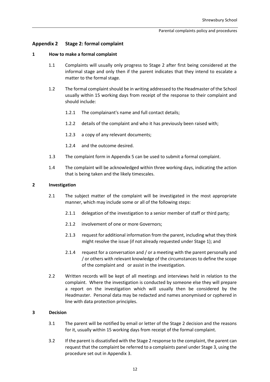# **Appendix 2 Stage 2: formal complaint**

#### **1 How to make a formal complaint**

- 1.1 Complaints will usually only progress to Stage 2 after first being considered at the informal stage and only then if the parent indicates that they intend to escalate a matter to the formal stage.
- 1.2 The formal complaint should be in writing addressed to the Headmaster of the School usually within 15 working days from receipt of the response to their complaint and should include:
	- 1.2.1 The complainant's name and full contact details;
	- 1.2.2 details of the complaint and who it has previously been raised with;
	- 1.2.3 a copy of any relevant documents;
	- 1.2.4 and the outcome desired.
- 1.3 The complaint form in Appendix 5 can be used to submit a formal complaint.
- 1.4 The complaint will be acknowledged within three working days, indicating the action that is being taken and the likely timescales.

#### **2 Investigation**

- 2.1 The subject matter of the complaint will be investigated in the most appropriate manner, which may include some or all of the following steps:
	- 2.1.1 delegation of the investigation to a senior member of staff or third party;
	- 2.1.2 involvement of one or more Governors;
	- 2.1.3 request for additional information from the parent, including what they think might resolve the issue (if not already requested under Stage 1); and
	- 2.1.4 request for a conversation and / or a meeting with the parent personally and / or others with relevant knowledge of the circumstances to define the scope of the complaint and or assist in the investigation.
- 2.2 Written records will be kept of all meetings and interviews held in relation to the complaint. Where the investigation is conducted by someone else they will prepare a report on the investigation which will usually then be considered by the Headmaster. Personal data may be redacted and names anonymised or cyphered in line with data protection principles.

#### **3 Decision**

- 3.1 The parent will be notified by email or letter of the Stage 2 decision and the reasons for it, usually within 15 working days from receipt of the formal complaint.
- 3.2 If the parent is dissatisfied with the Stage 2 response to the complaint, the parent can request that the complaint be referred to a complaints panel under Stage 3, using the procedure set out in Appendix 3.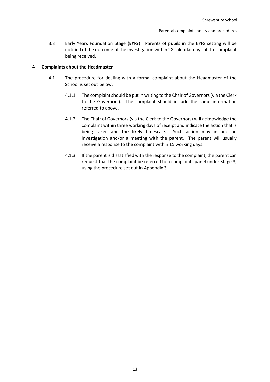3.3 Early Years Foundation Stage (**EYFS**): Parents of pupils in the EYFS setting will be notified of the outcome of the investigation within 28 calendar days of the complaint being received.

#### **4 Complaints about the Headmaster**

- 4.1 The procedure for dealing with a formal complaint about the Headmaster of the School is set out below:
	- 4.1.1 The complaint should be put in writing to the Chair of Governors (via the Clerk to the Governors). The complaint should include the same information referred to above.
	- 4.1.2 The Chair of Governors (via the Clerk to the Governors) will acknowledge the complaint within three working days of receipt and indicate the action that is being taken and the likely timescale. Such action may include an investigation and/or a meeting with the parent. The parent will usually receive a response to the complaint within 15 working days.
	- 4.1.3 If the parent is dissatisfied with the response to the complaint, the parent can request that the complaint be referred to a complaints panel under Stage 3, using the procedure set out in Appendix 3.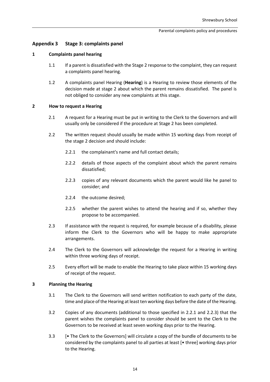# **Appendix 3 Stage 3: complaints panel**

#### **1 Complaints panel hearing**

- 1.1 If a parent is dissatisfied with the Stage 2 response to the complaint, they can request a complaints panel hearing.
- 1.2 A complaints panel Hearing (**Hearing**) is a Hearing to review those elements of the decision made at stage 2 about which the parent remains dissatisfied. The panel is not obliged to consider any new complaints at this stage.

#### **2 How to request a Hearing**

- 2.1 A request for a Hearing must be put in writing to the Clerk to the Governors and will usually only be considered if the procedure at Stage 2 has been completed.
- 2.2 The written request should usually be made within 15 working days from receipt of the stage 2 decision and should include:
	- 2.2.1 the complainant's name and full contact details;
	- 2.2.2 details of those aspects of the complaint about which the parent remains dissatisfied;
	- 2.2.3 copies of any relevant documents which the parent would like he panel to consider; and
	- 2.2.4 the outcome desired;
	- 2.2.5 whether the parent wishes to attend the hearing and if so, whether they propose to be accompanied.
- 2.3 If assistance with the request is required, for example because of a disability, please inform the Clerk to the Governors who will be happy to make appropriate arrangements.
- 2.4 The Clerk to the Governors will acknowledge the request for a Hearing in writing within three working days of receipt.
- 2.5 Every effort will be made to enable the Hearing to take place within 15 working days of receipt of the request.

#### **3 Planning the Hearing**

- 3.1 The Clerk to the Governors will send written notification to each party of the date, time and place of the Hearing at least ten working days before the date of the Hearing.
- 3.2 Copies of any documents (additional to those specified in 2.2.1 and 2.2.3) that the parent wishes the complaints panel to consider should be sent to the Clerk to the Governors to be received at least seven working days prior to the Hearing.
- 3.3 [• The Clerk to the Governors] will circulate a copy of the bundle of documents to be considered by the complaints panel to all parties at least [• three] working days prior to the Hearing.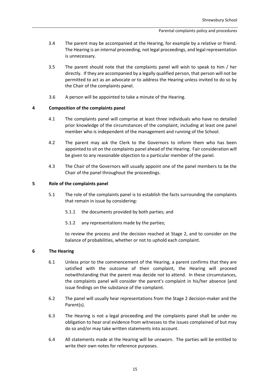- 3.4 The parent may be accompanied at the Hearing, for example by a relative or friend. The Hearing is an internal proceeding, not legal proceedings, and legal representation is unnecessary.
- 3.5 The parent should note that the complaints panel will wish to speak to him / her directly. If they are accompanied by a legally qualified person, that person will not be permitted to act as an advocate or to address the Hearing unless invited to do so by the Chair of the complaints panel.
- 3.6 A person will be appointed to take a minute of the Hearing.

## **4 Composition of the complaints panel**

- 4.1 The complaints panel will comprise at least three individuals who have no detailed prior knowledge of the circumstances of the complaint, including at least one panel member who is independent of the management and running of the School.
- 4.2 The parent may ask the Clerk to the Governors to inform them who has been appointed to sit on the complaints panel ahead of the Hearing. Fair consideration will be given to any reasonable objection to a particular member of the panel.
- 4.3 The Chair of the Governors will usually appoint one of the panel members to be the Chair of the panel throughout the proceedings.

#### **5 Role of the complaints panel**

- 5.1 The role of the complaints panel is to establish the facts surrounding the complaints that remain in issue by considering:
	- 5.1.1 the documents provided by both parties; and
	- 5.1.2 any representations made by the parties;

to review the process and the decision reached at Stage 2, and to consider on the balance of probabilities, whether or not to uphold each complaint.

#### **6 The Hearing**

- 6.1 Unless prior to the commencement of the Hearing, a parent confirms that they are satisfied with the outcome of their complaint, the Hearing will proceed notwithstanding that the parent may decide not to attend. In these circumstances, the complaints panel will consider the parent's complaint in his/her absence [and issue findings on the substance of the complaint.
- 6.2 The panel will usually hear representations from the Stage 2 decision-maker and the Parent(s).
- 6.3 The Hearing is not a legal proceeding and the complaints panel shall be under no obligation to hear oral evidence from witnesses to the issues complained of but may do so and/or may take written statements into account.
- 6.4 All statements made at the Hearing will be unsworn. The parties will be entitled to write their own notes for reference purposes.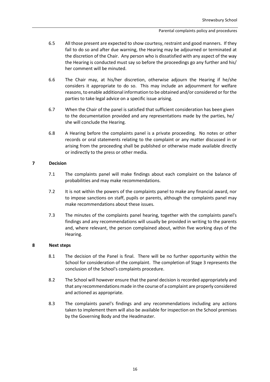- 6.5 All those present are expected to show courtesy, restraint and good manners. If they fail to do so and after due warning, the Hearing may be adjourned or terminated at the discretion of the Chair. Any person who is dissatisfied with any aspect of the way the Hearing is conducted must say so before the proceedings go any further and his/ her comment will be minuted.
- 6.6 The Chair may, at his/her discretion, otherwise adjourn the Hearing if he/she considers it appropriate to do so. This may include an adjournment for welfare reasons, to enable additional information to be obtained and/or considered or for the parties to take legal advice on a specific issue arising.
- 6.7 When the Chair of the panel is satisfied that sufficient consideration has been given to the documentation provided and any representations made by the parties, he/ she will conclude the Hearing.
- 6.8 A Hearing before the complaints panel is a private proceeding. No notes or other records or oral statements relating to the complaint or any matter discussed in or arising from the proceeding shall be published or otherwise made available directly or indirectly to the press or other media.

## **7 Decision**

- 7.1 The complaints panel will make findings about each complaint on the balance of probabilities and may make recommendations.
- 7.2 It is not within the powers of the complaints panel to make any financial award, nor to impose sanctions on staff, pupils or parents, although the complaints panel may make recommendations about these issues.
- 7.3 The minutes of the complaints panel hearing, together with the complaints panel's findings and any recommendations will usually be provided in writing to the parents and, where relevant, the person complained about, within five working days of the Hearing.

#### **8 Next steps**

- 8.1 The decision of the Panel is final. There will be no further opportunity within the School for consideration of the complaint. The completion of Stage 3 represents the conclusion of the School's complaints procedure.
- 8.2 The School will however ensure that the panel decision is recorded appropriately and that any recommendations made in the course of a complaint are properly considered and actioned as appropriate.
- 8.3 The complaints panel's findings and any recommendations including any actions taken to implement them will also be available for inspection on the School premises by the Governing Body and the Headmaster.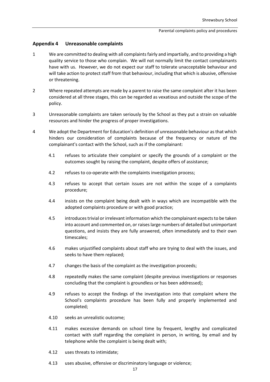### **Appendix 4 Unreasonable complaints**

- 1 We are committed to dealing with all complaints fairly and impartially, and to providing a high quality service to those who complain. We will not normally limit the contact complainants have with us. However, we do not expect our staff to tolerate unacceptable behaviour and will take action to protect staff from that behaviour, including that which is abusive, offensive or threatening.
- 2 Where repeated attempts are made by a parent to raise the same complaint after it has been considered at all three stages, this can be regarded as vexatious and outside the scope of the policy.
- 3 Unreasonable complaints are taken seriously by the School as they put a strain on valuable resources and hinder the progress of proper investigations.
- 4 We adopt the Department for Education's definition of unreasonable behaviour as that which hinders our consideration of complaints because of the frequency or nature of the complainant's contact with the School, such as if the complainant:
	- 4.1 refuses to articulate their complaint or specify the grounds of a complaint or the outcomes sought by raising the complaint, despite offers of assistance;
	- 4.2 refuses to co-operate with the complaints investigation process;
	- 4.3 refuses to accept that certain issues are not within the scope of a complaints procedure;
	- 4.4 insists on the complaint being dealt with in ways which are incompatible with the adopted complaints procedure or with good practice;
	- 4.5 introduces trivial or irrelevant information which the complainant expects to be taken into account and commented on, or raises large numbers of detailed but unimportant questions, and insists they are fully answered, often immediately and to their own timescales;
	- 4.6 makes unjustified complaints about staff who are trying to deal with the issues, and seeks to have them replaced;
	- 4.7 changes the basis of the complaint as the investigation proceeds;
	- 4.8 repeatedly makes the same complaint (despite previous investigations or responses concluding that the complaint is groundless or has been addressed);
	- 4.9 refuses to accept the findings of the investigation into that complaint where the School's complaints procedure has been fully and properly implemented and completed;
	- 4.10 seeks an unrealistic outcome;
	- 4.11 makes excessive demands on school time by frequent, lengthy and complicated contact with staff regarding the complaint in person, in writing, by email and by telephone while the complaint is being dealt with;
	- 4.12 uses threats to intimidate;
	- 4.13 uses abusive, offensive or discriminatory language or violence;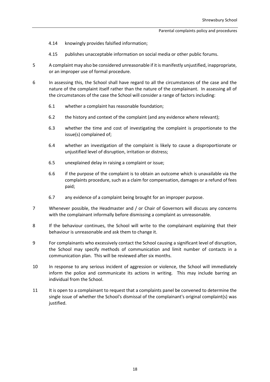- 4.14 knowingly provides falsified information;
- 4.15 publishes unacceptable information on social media or other public forums.
- 5 A complaint may also be considered unreasonable if it is manifestly unjustified, inappropriate, or an improper use of formal procedure.
- 6 In assessing this, the School shall have regard to all the circumstances of the case and the nature of the complaint itself rather than the nature of the complainant. In assessing all of the circumstances of the case the School will consider a range of factors including:
	- 6.1 whether a complaint has reasonable foundation;
	- 6.2 the history and context of the complaint (and any evidence where relevant);
	- 6.3 whether the time and cost of investigating the complaint is proportionate to the issue(s) complained of;
	- 6.4 whether an investigation of the complaint is likely to cause a disproportionate or unjustified level of disruption, irritation or distress;
	- 6.5 unexplained delay in raising a complaint or issue;
	- 6.6 if the purpose of the complaint is to obtain an outcome which is unavailable via the complaints procedure, such as a claim for compensation, damages or a refund of fees paid;
	- 6.7 any evidence of a complaint being brought for an improper purpose.
- 7 Whenever possible, the Headmaster and / or Chair of Governors will discuss any concerns with the complainant informally before dismissing a complaint as unreasonable.
- 8 If the behaviour continues, the School will write to the complainant explaining that their behaviour is unreasonable and ask them to change it.
- 9 For complainants who excessively contact the School causing a significant level of disruption, the School may specify methods of communication and limit number of contacts in a communication plan. This will be reviewed after six months.
- 10 In response to any serious incident of aggression or violence, the School will immediately inform the police and communicate its actions in writing. This may include barring an individual from the School.
- 11 It is open to a complainant to request that a complaints panel be convened to determine the single issue of whether the School's dismissal of the complainant's original complaint(s) was justified.